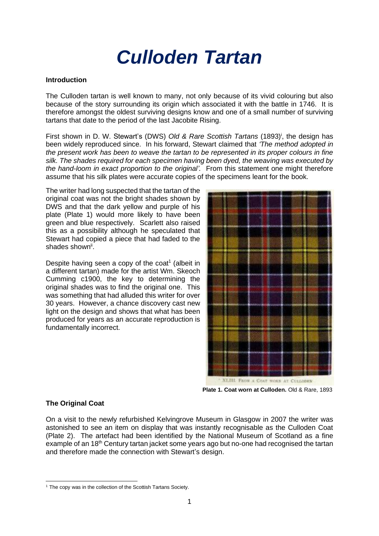# *Culloden Tartan*

### **Introduction**

The Culloden tartan is well known to many, not only because of its vivid colouring but also because of the story surrounding its origin which associated it with the battle in 1746. It is therefore amongst the oldest surviving designs know and one of a small number of surviving tartans that date to the period of the last Jacobite Rising.

First shown in D. W. Stewart's (DWS) Old & Rare Scottish Tartans (1893)<sup>i</sup>, the design has been widely reproduced since. In his forward, Stewart claimed that *'The method adopted in the present work has been to weave the tartan to be represented in its proper colours in fine silk. The shades required for each specimen having been dyed, the weaving was executed by the hand-loom in exact proportion to the original'.* From this statement one might therefore assume that his silk plates were accurate copies of the specimens leant for the book.

The writer had long suspected that the tartan of the original coat was not the bright shades shown by DWS and that the dark yellow and purple of his plate (Plate 1) would more likely to have been green and blue respectively. Scarlett also raised this as a possibility although he speculated that Stewart had copied a piece that had faded to the shades shown<sup>ii</sup>.

Despite having seen a copy of the coat $1$  (albeit in a different tartan) made for the artist Wm. Skeoch Cumming c1900, the key to determining the original shades was to find the original one. This was something that had alluded this writer for over 30 years. However, a chance discovery cast new light on the design and shows that what has been produced for years as an accurate reproduction is fundamentally incorrect.



 **Plate 1. Coat worn at Culloden.** Old & Rare, 1893

## **The Original Coat**

On a visit to the newly refurbished Kelvingrove Museum in Glasgow in 2007 the writer was astonished to see an item on display that was instantly recognisable as the Culloden Coat (Plate 2). The artefact had been identified by the National Museum of Scotland as a fine example of an 18th Century tartan jacket some years ago but no-one had recognised the tartan and therefore made the connection with Stewart's design.

<sup>&</sup>lt;sup>1</sup> The copy was in the collection of the Scottish Tartans Society.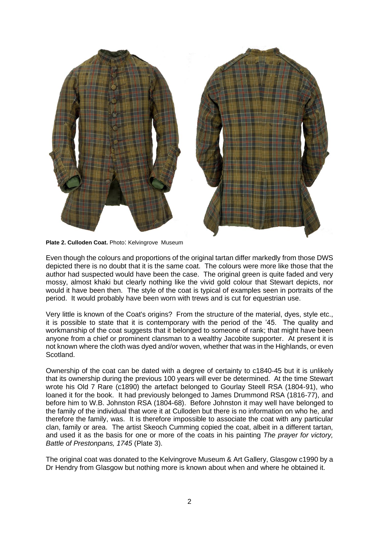

**Plate 2. Culloden Coat.** Photo: Kelvingrove Museum

Even though the colours and proportions of the original tartan differ markedly from those DWS depicted there is no doubt that it is the same coat. The colours were more like those that the author had suspected would have been the case. The original green is quite faded and very mossy, almost khaki but clearly nothing like the vivid gold colour that Stewart depicts, nor would it have been then. The style of the coat is typical of examples seen in portraits of the period. It would probably have been worn with trews and is cut for equestrian use.

Very little is known of the Coat's origins? From the structure of the material, dyes, style etc., it is possible to state that it is contemporary with the period of the '45. The quality and workmanship of the coat suggests that it belonged to someone of rank; that might have been anyone from a chief or prominent clansman to a wealthy Jacobite supporter. At present it is not known where the cloth was dyed and/or woven, whether that was in the Highlands, or even Scotland.

Ownership of the coat can be dated with a degree of certainty to c1840-45 but it is unlikely that its ownership during the previous 100 years will ever be determined. At the time Stewart wrote his Old 7 Rare (c1890) the artefact belonged to Gourlay Steell RSA (1804-91), who loaned it for the book. It had previously belonged to James Drummond RSA (1816-77), and before him to W.B. Johnston RSA (1804-68). Before Johnston it may well have belonged to the family of the individual that wore it at Culloden but there is no information on who he, and therefore the family, was. It is therefore impossible to associate the coat with any particular clan, family or area. The artist Skeoch Cumming copied the coat, albeit in a different tartan, and used it as the basis for one or more of the coats in his painting *The prayer for victory, Battle of Prestonpans, 1745* (Plate 3).

The original coat was donated to the Kelvingrove Museum & Art Gallery, Glasgow c1990 by a Dr Hendry from Glasgow but nothing more is known about when and where he obtained it.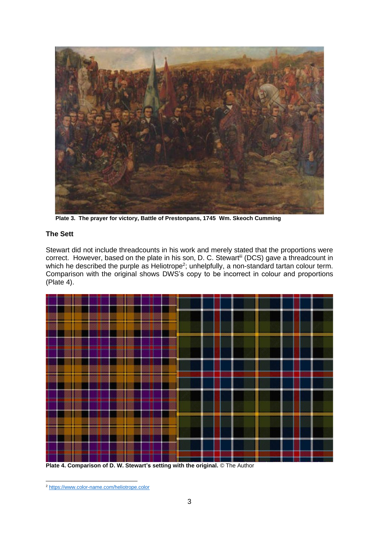

 **Plate 3. The prayer for victory, Battle of Prestonpans, 1745 Wm. Skeoch Cumming**

# **The Sett**

Stewart did not include threadcounts in his work and merely stated that the proportions were correct. However, based on the plate in his son, D. C. Stewartiii (DCS) gave a threadcount in which he described the purple as Heliotrope<sup>2</sup>; unhelpfully, a non-standard tartan colour term. Comparison with the original shows DWS's copy to be incorrect in colour and proportions (Plate 4).



**Plate 4. Comparison of D. W. Stewart's setting with the original.** © The Author

<sup>2</sup> <https://www.color-name.com/heliotrope.color>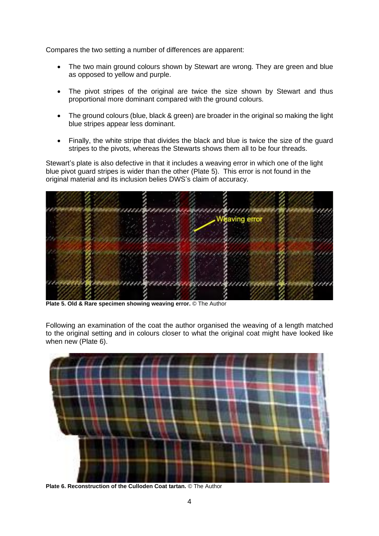Compares the two setting a number of differences are apparent:

- The two main ground colours shown by Stewart are wrong. They are green and blue as opposed to yellow and purple.
- The pivot stripes of the original are twice the size shown by Stewart and thus proportional more dominant compared with the ground colours.
- The ground colours (blue, black & green) are broader in the original so making the light blue stripes appear less dominant.
- Finally, the white stripe that divides the black and blue is twice the size of the guard stripes to the pivots, whereas the Stewarts shows them all to be four threads.

Stewart's plate is also defective in that it includes a weaving error in which one of the light blue pivot guard stripes is wider than the other (Plate 5). This error is not found in the original material and its inclusion belies DWS's claim of accuracy.



**Plate 5. Old & Rare specimen showing weaving error.** © The Author

Following an examination of the coat the author organised the weaving of a length matched to the original setting and in colours closer to what the original coat might have looked like when new (Plate 6).



**Plate 6. Reconstruction of the Culloden Coat tartan.** © The Author